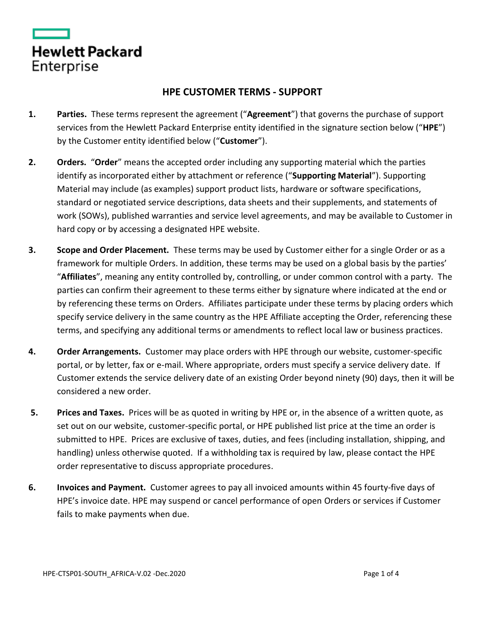| Hewlett Packard |  |  |
|-----------------|--|--|
| Enterprise      |  |  |

## **HPE CUSTOMER TERMS - SUPPORT**

- **1. Parties.** These terms represent the agreement ("**Agreement**") that governs the purchase of support services from the Hewlett Packard Enterprise entity identified in the signature section below ("**HPE**") by the Customer entity identified below ("**Customer**").
- **2. Orders.** "**Order**" means the accepted order including any supporting material which the parties identify as incorporated either by attachment or reference ("**Supporting Material**"). Supporting Material may include (as examples) support product lists, hardware or software specifications, standard or negotiated service descriptions, data sheets and their supplements, and statements of work (SOWs), published warranties and service level agreements, and may be available to Customer in hard copy or by accessing a designated HPE website.
- **3. Scope and Order Placement.** These terms may be used by Customer either for a single Order or as a framework for multiple Orders. In addition, these terms may be used on a global basis by the parties' "**Affiliates**", meaning any entity controlled by, controlling, or under common control with a party. The parties can confirm their agreement to these terms either by signature where indicated at the end or by referencing these terms on Orders. Affiliates participate under these terms by placing orders which specify service delivery in the same country as the HPE Affiliate accepting the Order, referencing these terms, and specifying any additional terms or amendments to reflect local law or business practices.
- **4. Order Arrangements.** Customer may place orders with HPE through our website, customer-specific portal, or by letter, fax or e-mail. Where appropriate, orders must specify a service delivery date. If Customer extends the service delivery date of an existing Order beyond ninety (90) days, then it will be considered a new order.
- **5. Prices and Taxes.** Prices will be as quoted in writing by HPE or, in the absence of a written quote, as set out on our website, customer-specific portal, or HPE published list price at the time an order is submitted to HPE. Prices are exclusive of taxes, duties, and fees (including installation, shipping, and handling) unless otherwise quoted. If a withholding tax is required by law, please contact the HPE order representative to discuss appropriate procedures.
- **6. Invoices and Payment.** Customer agrees to pay all invoiced amounts within 45 fourty-five days of HPE's invoice date. HPE may suspend or cancel performance of open Orders or services if Customer fails to make payments when due.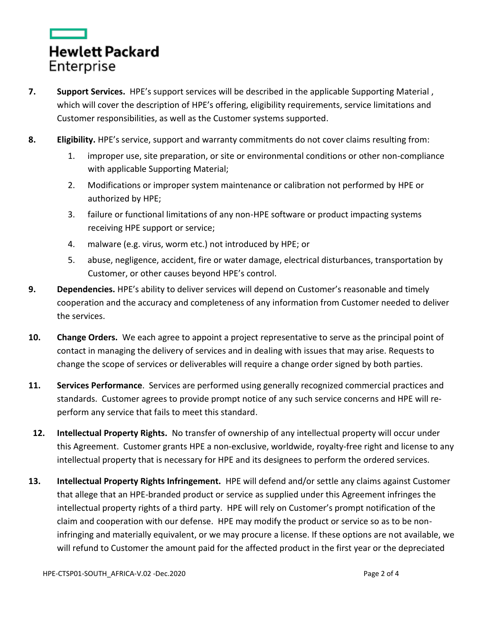

- **7. Support Services.** HPE's support services will be described in the applicable Supporting Material , which will cover the description of HPE's offering, eligibility requirements, service limitations and Customer responsibilities, as well as the Customer systems supported.
- **8. Eligibility.** HPE's service, support and warranty commitments do not cover claims resulting from:
	- 1. improper use, site preparation, or site or environmental conditions or other non-compliance with applicable Supporting Material;
	- 2. Modifications or improper system maintenance or calibration not performed by HPE or authorized by HPE;
	- 3. failure or functional limitations of any non-HPE software or product impacting systems receiving HPE support or service;
	- 4. malware (e.g. virus, worm etc.) not introduced by HPE; or
	- 5. abuse, negligence, accident, fire or water damage, electrical disturbances, transportation by Customer, or other causes beyond HPE's control.
- **9. Dependencies.** HPE's ability to deliver services will depend on Customer's reasonable and timely cooperation and the accuracy and completeness of any information from Customer needed to deliver the services.
- **10. Change Orders.** We each agree to appoint a project representative to serve as the principal point of contact in managing the delivery of services and in dealing with issues that may arise. Requests to change the scope of services or deliverables will require a change order signed by both parties.
- **11. Services Performance**. Services are performed using generally recognized commercial practices and standards. Customer agrees to provide prompt notice of any such service concerns and HPE will reperform any service that fails to meet this standard.
- **12. Intellectual Property Rights.** No transfer of ownership of any intellectual property will occur under this Agreement. Customer grants HPE a non-exclusive, worldwide, royalty-free right and license to any intellectual property that is necessary for HPE and its designees to perform the ordered services.
- **13. Intellectual Property Rights Infringement.** HPE will defend and/or settle any claims against Customer that allege that an HPE-branded product or service as supplied under this Agreement infringes the intellectual property rights of a third party. HPE will rely on Customer's prompt notification of the claim and cooperation with our defense. HPE may modify the product or service so as to be noninfringing and materially equivalent, or we may procure a license. If these options are not available, we will refund to Customer the amount paid for the affected product in the first year or the depreciated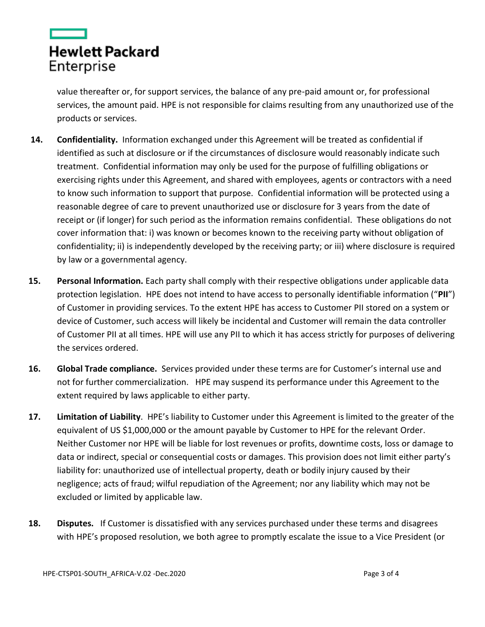

value thereafter or, for support services, the balance of any pre-paid amount or, for professional services, the amount paid. HPE is not responsible for claims resulting from any unauthorized use of the products or services.

- **14. Confidentiality.** Information exchanged under this Agreement will be treated as confidential if identified as such at disclosure or if the circumstances of disclosure would reasonably indicate such treatment. Confidential information may only be used for the purpose of fulfilling obligations or exercising rights under this Agreement, and shared with employees, agents or contractors with a need to know such information to support that purpose. Confidential information will be protected using a reasonable degree of care to prevent unauthorized use or disclosure for 3 years from the date of receipt or (if longer) for such period as the information remains confidential. These obligations do not cover information that: i) was known or becomes known to the receiving party without obligation of confidentiality; ii) is independently developed by the receiving party; or iii) where disclosure is required by law or a governmental agency.
- **15. Personal Information.** Each party shall comply with their respective obligations under applicable data protection legislation.HPE does not intend to have access to personally identifiable information ("**PII**") of Customer in providing services. To the extent HPE has access to Customer PII stored on a system or device of Customer, such access will likely be incidental and Customer will remain the data controller of Customer PII at all times. HPE will use any PII to which it has access strictly for purposes of delivering the services ordered.
- **16. Global Trade compliance.** Services provided under these terms are for Customer's internal use and not for further commercialization. HPE may suspend its performance under this Agreement to the extent required by laws applicable to either party.
- **17. Limitation of Liability**. HPE's liability to Customer under this Agreement is limited to the greater of the equivalent of US \$1,000,000 or the amount payable by Customer to HPE for the relevant Order. Neither Customer nor HPE will be liable for lost revenues or profits, downtime costs, loss or damage to data or indirect, special or consequential costs or damages. This provision does not limit either party's liability for: unauthorized use of intellectual property, death or bodily injury caused by their negligence; acts of fraud; wilful repudiation of the Agreement; nor any liability which may not be excluded or limited by applicable law.
- **18. Disputes.** If Customer is dissatisfied with any services purchased under these terms and disagrees with HPE's proposed resolution, we both agree to promptly escalate the issue to a Vice President (or